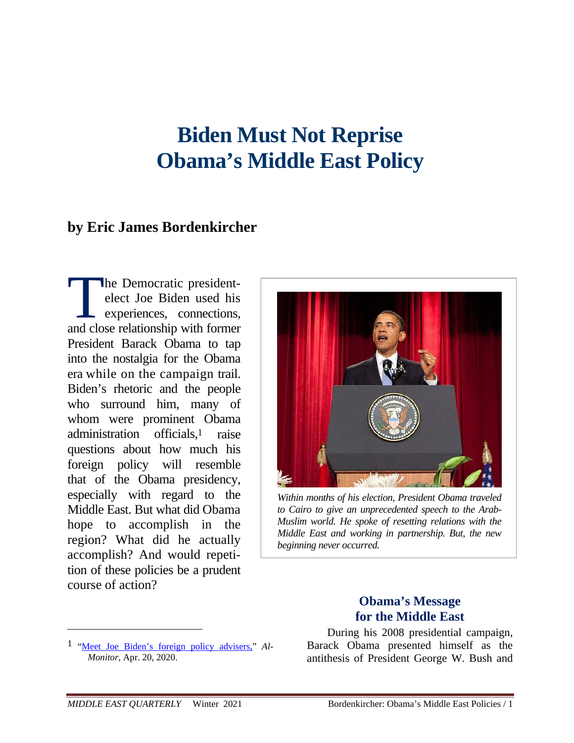# **Biden Must Not Reprise Obama's Middle East Policy**

# **by Eric James Bordenkircher**

he Democratic presidentelect Joe Biden used his experiences, connections, The Democratic president-<br>elect Joe Biden used his<br>experiences, connections,<br>and close relationship with former President Barack Obama to tap into the nostalgia for the Obama era while on the campaign trail. Biden's rhetoric and the people who surround him, many of whom were prominent Obama administration officials,1 raise questions about how much his foreign policy will resemble that of the Obama presidency, especially with regard to the Middle East. But what did Obama hope to accomplish in the region? What did he actually accomplish? And would repetition of these policies be a prudent course of action?



*Within months of his election, President Obama traveled to Cairo to give an unprecedented speech to the Arab-Muslim world. He spoke of resetting relations with the Middle East and working in partnership. But, the new beginning never occurred.*

# **Obama's Message for the Middle East**

During his 2008 presidential campaign, Barack Obama presented himself as the antithesis of President George W. Bush and

<sup>1 &</sup>quot;Meet Joe Biden's foreign policy advisers," *Al-Monitor*, Apr. 20, 2020.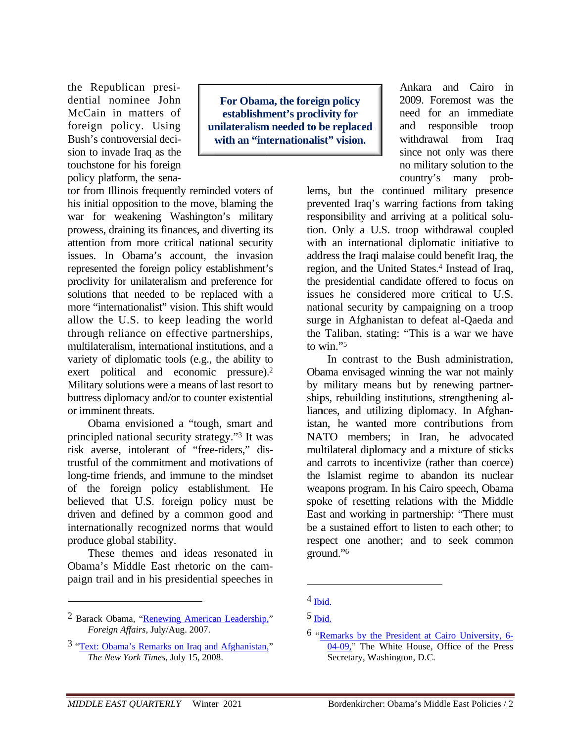the Republican presidential nominee John McCain in matters of foreign policy. Using Bush's controversial decision to invade Iraq as the touchstone for his foreign policy platform, the sena-

For Obama, the foreign policy establishment's proclivity for unilateralism needed to be replaced with an "internationalist" vision.

tor from Illinois frequently reminded voters of his initial opposition to the move, blaming the war for weakening Washington's military prowess, draining its finances, and diverting its attention from more critical national security issues. In Obama's account, the invasion represented the foreign policy establishment's proclivity for unilateralism and preference for solutions that needed to be replaced with a more "internationalist" vision. This shift would allow the U.S. to keep leading the world through reliance on effective partnerships, multilateralism, international institutions, and a variety of diplomatic tools (e.g., the ability to exert political and economic pressure).<sup>2</sup> Military solutions were a means of last resort to buttress diplomacy and/or to counter existential or imminent threats.

Obama envisioned a "tough, smart and principled national security strategy."<sup>3</sup> It was risk averse, intolerant of "free-riders," distrustful of the commitment and motivations of long-time friends, and immune to the mindset of the foreign policy establishment. He believed that U.S. foreign policy must be driven and defined by a common good and internationally recognized norms that would produce global stability.

These themes and ideas resonated in Obama's Middle East rhetoric on the campaign trail and in his presidential speeches in

Ankara and Cairo in 2009. Foremost was the need for an immediate and responsible troop withdrawal from Iraq since not only was there no military solution to the country's many prob-

lems, but the continued military presence prevented Iraq's warring factions from taking responsibility and arriving at a political solution. Only a U.S. troop withdrawal coupled with an international diplomatic initiative to address the Iraqi malaise could benefit Iraq, the region, and the United States.<sup>4</sup> Instead of Iraq, the presidential candidate offered to focus on issues he considered more critical to U.S. national security by campaigning on a troop surge in Afghanistan to defeat al-Qaeda and the Taliban, stating: "This is a war we have to win."5

In contrast to the Bush administration. Obama envisaged winning the war not mainly by military means but by renewing partnerships, rebuilding institutions, strengthening alliances, and utilizing diplomacy. In Afghanistan, he wanted more contributions from NATO members; in Iran, he advocated multilateral diplomacy and a mixture of sticks and carrots to incentivize (rather than coerce) the Islamist regime to abandon its nuclear weapons program. In his Cairo speech, Obama spoke of resetting relations with the Middle East and working in partnership: "There must be a sustained effort to listen to each other; to respect one another; and to seek common ground."6

<sup>&</sup>lt;sup>2</sup> Barack Obama, "Renewing American Leadership," Foreign Affairs, July/Aug. 2007.

<sup>&</sup>lt;sup>3</sup> "Text: Obama's Remarks on Iraq and Afghanistan," The New York Times, July 15, 2008.

 $4$  Ibid.

 $<sup>5</sup>$  Ibid.</sup>

<sup>6 &</sup>quot;Remarks by the President at Cairo University, 6- $04-09$ ." The White House, Office of the Press Secretary, Washington, D.C.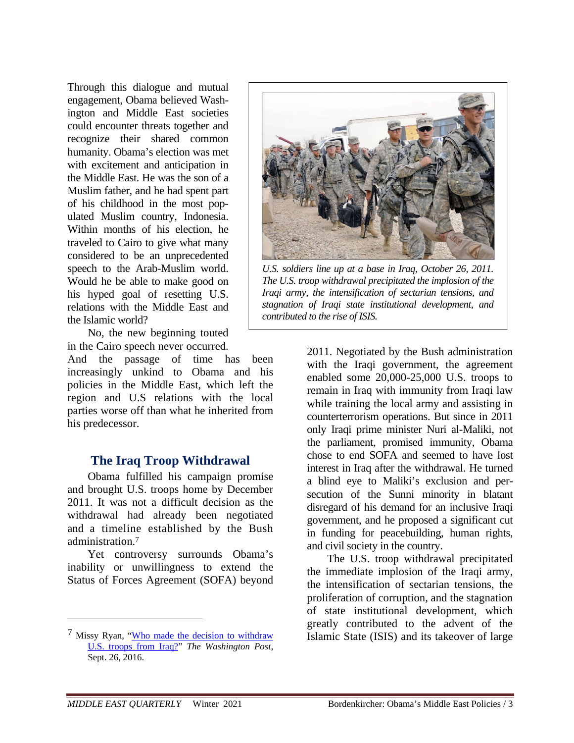Through this dialogue and mutual engagement, Obama believed Washington and Middle East societies could encounter threats together and recognize their shared common humanity. Obama's election was met with excitement and anticipation in the Middle East. He was the son of a Muslim father, and he had spent part of his childhood in the most populated Muslim country, Indonesia. Within months of his election, he traveled to Cairo to give what many considered to be an unprecedented speech to the Arab-Muslim world. Would he be able to make good on his hyped goal of resetting U.S. relations with the Middle East and the Islamic world?

No, the new beginning touted in the Cairo speech never occurred.

And the passage of time has been increasingly unkind to Obama and his policies in the Middle East, which left the region and U.S relations with the local parties worse off than what he inherited from his predecessor.

# **The Iraq Troop Withdrawal**

Obama fulfilled his campaign promise and brought U.S. troops home by December 2011. It was not a difficult decision as the withdrawal had already been negotiated and a timeline established by the Bush administration.7

Yet controversy surrounds Obama's inability or unwillingness to extend the Status of Forces Agreement (SOFA) beyond



*U.S. soldiers line up at a base in Iraq, October 26, 2011. The U.S. troop withdrawal precipitated the implosion of the Iraqi army, the intensification of sectarian tensions, and stagnation of Iraqi state institutional development, and contributed to the rise of ISIS.*

2011. Negotiated by the Bush administration with the Iraqi government, the agreement enabled some 20,000-25,000 U.S. troops to remain in Iraq with immunity from Iraqi law while training the local army and assisting in counterterrorism operations. But since in 2011 only Iraqi prime minister Nuri al-Maliki, not the parliament, promised immunity, Obama chose to end SOFA and seemed to have lost interest in Iraq after the withdrawal. He turned a blind eye to Maliki's exclusion and persecution of the Sunni minority in blatant disregard of his demand for an inclusive Iraqi government, and he proposed a significant cut in funding for peacebuilding, human rights, and civil society in the country.

The U.S. troop withdrawal precipitated the immediate implosion of the Iraqi army, the intensification of sectarian tensions, the proliferation of corruption, and the stagnation of state institutional development, which greatly contributed to the advent of the Islamic State (ISIS) and its takeover of large

<sup>7</sup> Missy Ryan, "Who made the decision to withdraw U.S. troops from Iraq?" *The Washington Post*, Sept. 26, 2016.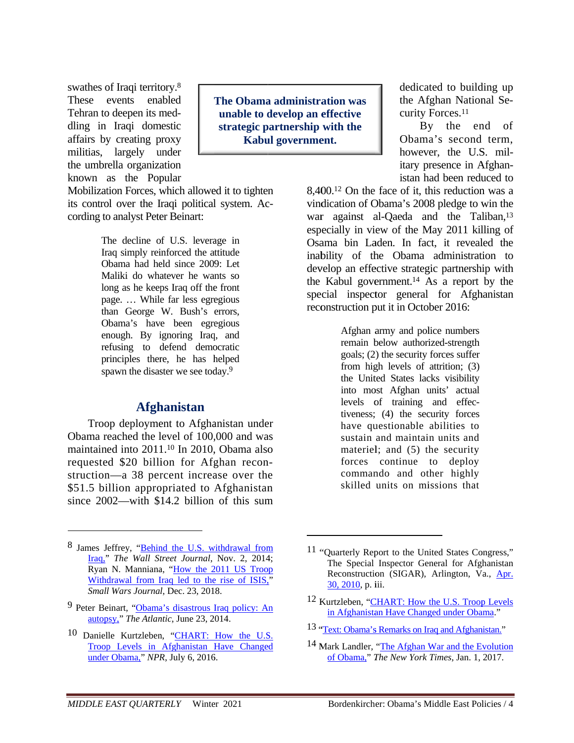swathes of Iraqi territory.<sup>8</sup> These events enabled Tehran to deepen its meddling in Iraqi domestic affairs by creating proxy militias, largely under the umbrella organization known as the Popular

The Obama administration was unable to develop an effective strategic partnership with the Kabul government.

Mobilization Forces, which allowed it to tighten its control over the Iraqi political system. According to analyst Peter Beinart:

> The decline of U.S. leverage in Iraq simply reinforced the attitude Obama had held since 2009: Let Maliki do whatever he wants so long as he keeps Iraq off the front page. ... While far less egregious than George W. Bush's errors, Obama's have been egregious enough. By ignoring Iraq, and refusing to defend democratic principles there, he has helped spawn the disaster we see today.<sup>9</sup>

#### **Afghanistan**

Troop deployment to Afghanistan under Obama reached the level of 100,000 and was maintained into 2011.<sup>10</sup> In 2010, Obama also requested \$20 billion for Afghan reconstruction—a 38 percent increase over the \$51.5 billion appropriated to Afghanistan since  $2002$ —with \$14.2 billion of this sum

- 9 Peter Beinart, "Obama's disastrous Iraq policy: An autopsy," The Atlantic, June 23, 2014.
- 10 Danielle Kurtzleben, "CHART: How the U.S. Troop Levels in Afghanistan Have Changed under Obama," NPR, July 6, 2016.

dedicated to building up the Afghan National Security Forces.<sup>11</sup>

By the end of Obama's second term. however, the U.S. military presence in Afghanistan had been reduced to

8,400.<sup>12</sup> On the face of it, this reduction was a vindication of Obama's 2008 pledge to win the war against al-Qaeda and the Taliban,<sup>13</sup> especially in view of the May 2011 killing of Osama bin Laden. In fact, it revealed the inability of the Obama administration to develop an effective strategic partnership with the Kabul government.<sup>14</sup> As a report by the special inspector general for Afghanistan reconstruction put it in October 2016:

> Afghan army and police numbers remain below authorized-strength goals; (2) the security forces suffer from high levels of attrition;  $(3)$ the United States lacks visibility into most Afghan units' actual levels of training and effectiveness; (4) the security forces have questionable abilities to sustain and maintain units and materiel; and (5) the security forces continue to deploy commando and other highly skilled units on missions that

13 "Text: Obama's Remarks on Iraq and Afghanistan."

<sup>8</sup> James Jeffrey, "Behind the U.S. withdrawal from Iraq," The Wall Street Journal, Nov. 2, 2014; Ryan N. Manniana, "How the 2011 US Troop Withdrawal from Iraq led to the rise of ISIS,"<br>Small Wars Journal, Dec. 23, 2018.

<sup>&</sup>lt;sup>11</sup> "Quarterly Report to the United States Congress," The Special Inspector General for Afghanistan Reconstruction (SIGAR), Arlington, Va., Apr. 30, 2010, p. iii.

<sup>&</sup>lt;sup>12</sup> Kurtzleben, "CHART: How the U.S. Troop Levels in Afghanistan Have Changed under Obama."

<sup>&</sup>lt;sup>14</sup> Mark Landler, "The Afghan War and the Evolution" of Obama," The New York Times, Jan. 1, 2017.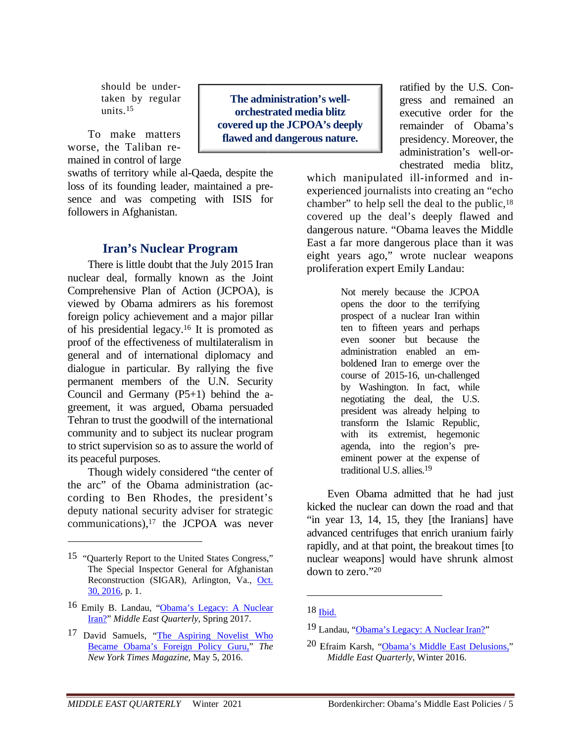should be undertaken by regular units  $15$ 

To make matters worse, the Taliban remained in control of large

swaths of territory while al-Qaeda, despite the loss of its founding leader, maintained a presence and was competing with ISIS for followers in Afghanistan.

#### **Iran's Nuclear Program**

There is little doubt that the July 2015 Iran nuclear deal, formally known as the Joint Comprehensive Plan of Action (JCPOA), is viewed by Obama admirers as his foremost foreign policy achievement and a major pillar of his presidential legacy.<sup>16</sup> It is promoted as proof of the effectiveness of multilateralism in general and of international diplomacy and dialogue in particular. By rallying the five permanent members of the U.N. Security Council and Germany  $(P5+1)$  behind the agreement, it was argued, Obama persuaded Tehran to trust the goodwill of the international community and to subject its nuclear program to strict supervision so as to assure the world of its peaceful purposes.

Though widely considered "the center of the arc" of the Obama administration (according to Ben Rhodes, the president's deputy national security adviser for strategic communications),<sup>17</sup> the JCPOA was never

The administration's wellorchestrated media blitz covered up the JCPOA's deeply flawed and dangerous nature.

ratified by the U.S. Congress and remained an executive order for the remainder of Obama's presidency. Moreover, the administration's well-orchestrated media blitz,

which manipulated ill-informed and inexperienced journalists into creating an "echo chamber" to help sell the deal to the public,<sup>18</sup> covered up the deal's deeply flawed and dangerous nature. "Obama leaves the Middle East a far more dangerous place than it was eight years ago," wrote nuclear weapons proliferation expert Emily Landau:

> Not merely because the JCPOA opens the door to the terrifying prospect of a nuclear Iran within ten to fifteen years and perhaps even sooner but because the administration enabled an emboldened Iran to emerge over the course of 2015-16, un-challenged by Washington. In fact, while negotiating the deal, the U.S. president was already helping to transform the Islamic Republic, with its extremist, hegemonic agenda, into the region's preeminent power at the expense of traditional U.S. allies.<sup>19</sup>

Even Obama admitted that he had just kicked the nuclear can down the road and that "in year 13, 14, 15, they [the Iranians] have advanced centrifuges that enrich uranium fairly rapidly, and at that point, the breakout times [to] nuclear weapons] would have shrunk almost down to zero."20

<sup>&</sup>lt;sup>15</sup> "Quarterly Report to the United States Congress," The Special Inspector General for Afghanistan Reconstruction (SIGAR), Arlington, Va., Oct.  $30, 2016, p. 1.$ 

<sup>16</sup> Emily B. Landau, "Obama's Legacy: A Nuclear Iran?" Middle East Quarterly, Spring 2017.

<sup>&</sup>lt;sup>17</sup> David Samuels, "The Aspiring Novelist Who Became Obama's Foreign Policy Guru," The New York Times Magazine, May 5, 2016.

 $18$  Thid.

<sup>&</sup>lt;sup>19</sup> Landau, "Obama's Legacy: A Nuclear Iran?"

<sup>20</sup> Efraim Karsh. "Obama's Middle East Delusions." Middle East Quarterly, Winter 2016.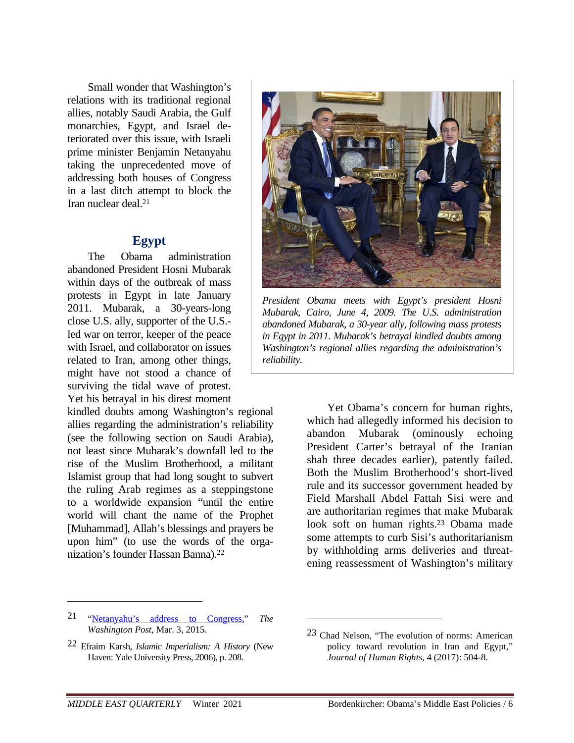Small wonder that Washington's relations with its traditional regional allies, notably Saudi Arabia, the Gulf monarchies, Egypt, and Israel deteriorated over this issue, with Israeli prime minister Benjamin Netanyahu taking the unprecedented move of addressing both houses of Congress in a last ditch attempt to block the Iran nuclear deal.21

# **Egypt**

The Obama administration abandoned President Hosni Mubarak within days of the outbreak of mass protests in Egypt in late January 2011. Mubarak, a 30-years-long close U.S. ally, supporter of the U.S. led war on terror, keeper of the peace with Israel, and collaborator on issues related to Iran, among other things, might have not stood a chance of surviving the tidal wave of protest. Yet his betrayal in his direst moment

kindled doubts among Washington's regional allies regarding the administration's reliability (see the following section on Saudi Arabia), not least since Mubarak's downfall led to the rise of the Muslim Brotherhood, a militant Islamist group that had long sought to subvert the ruling Arab regimes as a steppingstone to a worldwide expansion "until the entire world will chant the name of the Prophet [Muhammad], Allah's blessings and prayers be upon him" (to use the words of the organization's founder Hassan Banna).22



*President Obama meets with Egypt's president Hosni Mubarak, Cairo, June 4, 2009. The U.S. administration abandoned Mubarak, a 30-year ally, following mass protests in Egypt in 2011. Mubarak's betrayal kindled doubts among Washington's regional allies regarding the administration's reliability.* 

Yet Obama's concern for human rights, which had allegedly informed his decision to abandon Mubarak (ominously echoing President Carter's betrayal of the Iranian shah three decades earlier), patently failed. Both the Muslim Brotherhood's short-lived rule and its successor government headed by Field Marshall Abdel Fattah Sisi were and are authoritarian regimes that make Mubarak look soft on human rights.23 Obama made some attempts to curb Sisi's authoritarianism by withholding arms deliveries and threatening reassessment of Washington's military

 $\overline{a}$ 

<sup>21 &</sup>quot;Netanyahu's address to Congress," *The Washington Post*, Mar. 3, 2015.

<sup>22</sup> Efraim Karsh, *Islamic Imperialism: A History* (New Haven: Yale University Press, 2006), p. 208.

<sup>23</sup> Chad Nelson, "The evolution of norms: American policy toward revolution in Iran and Egypt," *Journal of Human Rights*, 4 (2017): 504-8.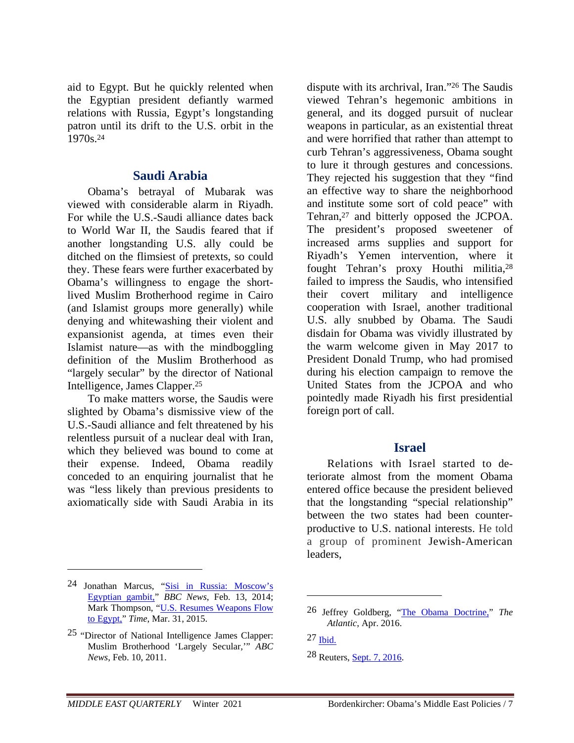aid to Egypt. But he quickly relented when the Egyptian president defiantly warmed relations with Russia, Egypt's longstanding patron until its drift to the U.S. orbit in the 1970s.24

#### **Saudi Arabia**

Obama's betrayal of Mubarak was viewed with considerable alarm in Riyadh. For while the U.S.-Saudi alliance dates back to World War II, the Saudis feared that if another longstanding U.S. ally could be ditched on the flimsiest of pretexts, so could they. These fears were further exacerbated by Obama's willingness to engage the shortlived Muslim Brotherhood regime in Cairo (and Islamist groups more generally) while denying and whitewashing their violent and expansionist agenda, at times even their Islamist nature—as with the mindboggling definition of the Muslim Brotherhood as "largely secular" by the director of National Intelligence, James Clapper.25

To make matters worse, the Saudis were slighted by Obama's dismissive view of the U.S.-Saudi alliance and felt threatened by his relentless pursuit of a nuclear deal with Iran, which they believed was bound to come at their expense. Indeed, Obama readily conceded to an enquiring journalist that he was "less likely than previous presidents to axiomatically side with Saudi Arabia in its

<u>.</u>

dispute with its archrival, Iran."26 The Saudis viewed Tehran's hegemonic ambitions in general, and its dogged pursuit of nuclear weapons in particular, as an existential threat and were horrified that rather than attempt to curb Tehran's aggressiveness, Obama sought to lure it through gestures and concessions. They rejected his suggestion that they "find an effective way to share the neighborhood and institute some sort of cold peace" with Tehran,27 and bitterly opposed the JCPOA. The president's proposed sweetener of increased arms supplies and support for Riyadh's Yemen intervention, where it fought Tehran's proxy Houthi militia,28 failed to impress the Saudis, who intensified their covert military and intelligence cooperation with Israel, another traditional U.S. ally snubbed by Obama. The Saudi disdain for Obama was vividly illustrated by the warm welcome given in May 2017 to President Donald Trump, who had promised during his election campaign to remove the United States from the JCPOA and who pointedly made Riyadh his first presidential foreign port of call.

#### **Israel**

Relations with Israel started to deteriorate almost from the moment Obama entered office because the president believed that the longstanding "special relationship" between the two states had been counterproductive to U.S. national interests. He told a group of prominent Jewish-American leaders,

<sup>24</sup> Jonathan Marcus, "Sisi in Russia: Moscow's Egyptian gambit," *BBC News*, Feb. 13, 2014; Mark Thompson, "U.S. Resumes Weapons Flow to Egypt," *Time*, Mar. 31, 2015.

<sup>25 &</sup>quot;Director of National Intelligence James Clapper: Muslim Brotherhood 'Largely Secular,'" *ABC News*, Feb. 10, 2011.

<sup>26</sup> Jeffrey Goldberg, "The Obama Doctrine," *The Atlantic*, Apr. 2016.

 $27$  Ibid.

<sup>28</sup> Reuters, Sept. 7, 2016.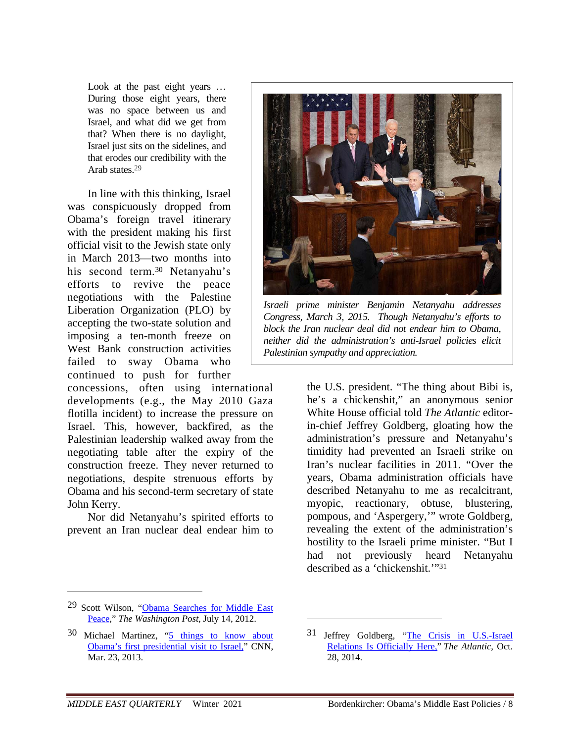Look at the past eight years ... During those eight years, there was no space between us and Israel, and what did we get from that? When there is no daylight, Israel just sits on the sidelines, and that erodes our credibility with the Arab states<sup>29</sup>

In line with this thinking, Israel was conspicuously dropped from Obama's foreign travel itinerary with the president making his first official visit to the Jewish state only in March 2013—two months into his second term.30 Netanyahu's efforts to revive the peace negotiations with the Palestine Liberation Organization (PLO) by accepting the two-state solution and imposing a ten-month freeze on West Bank construction activities failed to sway Obama who continued to push for further

concessions, often using international developments (e.g., the May 2010 Gaza flotilla incident) to increase the pressure on Israel. This, however, backfired, as the Palestinian leadership walked away from the negotiating table after the expiry of the construction freeze. They never returned to negotiations, despite strenuous efforts by Obama and his second-term secretary of state John Kerry.

Nor did Netanyahu's spirited efforts to prevent an Iran nuclear deal endear him to



*Israeli prime minister Benjamin Netanyahu addresses Congress, March 3, 2015. Though Netanyahu's efforts to block the Iran nuclear deal did not endear him to Obama, neither did the administration's anti-Israel policies elicit Palestinian sympathy and appreciation.*

the U.S. president. "The thing about Bibi is, he's a chickenshit," an anonymous senior White House official told *The Atlantic* editorin-chief Jeffrey Goldberg, gloating how the administration's pressure and Netanyahu's timidity had prevented an Israeli strike on Iran's nuclear facilities in 2011. "Over the years, Obama administration officials have described Netanyahu to me as recalcitrant, myopic, reactionary, obtuse, blustering, pompous, and 'Aspergery,'" wrote Goldberg, revealing the extent of the administration's hostility to the Israeli prime minister. "But I had not previously heard Netanyahu described as a 'chickenshit.'"31

 $\overline{a}$ 

<sup>29</sup> Scott Wilson, "Obama Searches for Middle East Peace," *The Washington Post*, July 14, 2012.

<sup>30</sup> Michael Martinez, "5 things to know about Obama's first presidential visit to Israel," CNN, Mar. 23, 2013.

<sup>31</sup> Jeffrey Goldberg, "The Crisis in U.S.-Israel Relations Is Officially Here," *The Atlantic*, Oct. 28, 2014.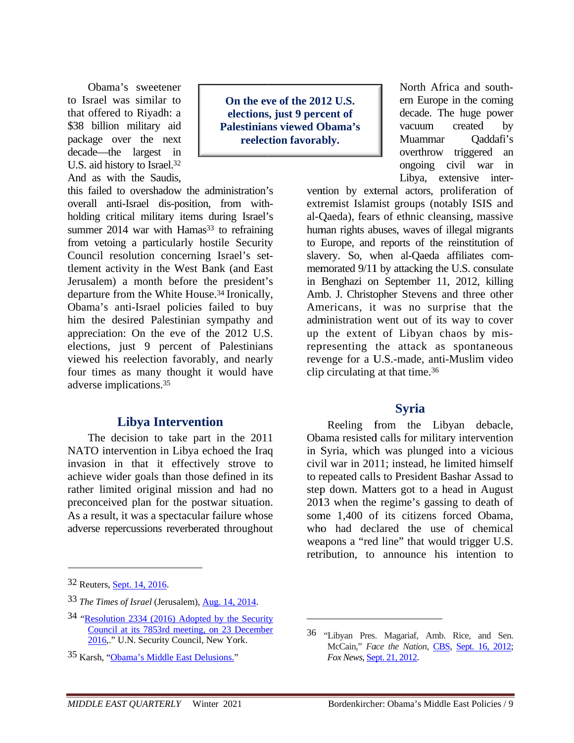Obama's sweetener to Israel was similar to that offered to Riyadh: a \$38 billion military aid package over the next decade—the largest in U.S. aid history to Israel.<sup>32</sup> And as with the Saudis.

On the eve of the 2012 U.S. elections, just 9 percent of **Palestinians viewed Obama's** reelection favorably.

this failed to overshadow the administration's overall anti-Israel dis-position, from withholding critical military items during Israel's summer 2014 war with Hamas<sup>33</sup> to refraining from vetoing a particularly hostile Security Council resolution concerning Israel's settlement activity in the West Bank (and East Jerusalem) a month before the president's departure from the White House.<sup>34</sup> Ironically, Obama's anti-Israel policies failed to buy him the desired Palestinian sympathy and appreciation: On the eve of the 2012 U.S. elections, just 9 percent of Palestinians viewed his reelection favorably, and nearly four times as many thought it would have adverse implications.<sup>35</sup>

# **Libya Intervention**

The decision to take part in the 2011 NATO intervention in Libya echoed the Iraq invasion in that it effectively strove to achieve wider goals than those defined in its rather limited original mission and had no preconceived plan for the postwar situation. As a result, it was a spectacular failure whose adverse repercussions reverberated throughout North Africa and southern Europe in the coming decade. The huge power created vacuum  $bv$ Muammar Qaddafi's overthrow triggered an ongoing civil war in Libya, extensive inter-

vention by external actors, proliferation of extremist Islamist groups (notably ISIS and al-Qaeda), fears of ethnic cleansing, massive human rights abuses, waves of illegal migrants to Europe, and reports of the reinstitution of slavery. So, when al-Oaeda affiliates commemorated 9/11 by attacking the U.S. consulate in Benghazi on September 11, 2012, killing Amb. J. Christopher Stevens and three other Americans, it was no surprise that the administration went out of its way to cover up the extent of Libyan chaos by misrepresenting the attack as spontaneous revenge for a U.S.-made, anti-Muslim video clip circulating at that time.<sup>36</sup>

#### **Syria**

Reeling from the Libyan debacle, Obama resisted calls for military intervention in Syria, which was plunged into a vicious civil war in 2011; instead, he limited himself to repeated calls to President Bashar Assad to step down. Matters got to a head in August 2013 when the regime's gassing to death of some 1.400 of its citizens forced Obama. who had declared the use of chemical weapons a "red line" that would trigger U.S. retribution, to announce his intention to

<sup>32</sup> Reuters, Sept. 14, 2016.

<sup>33</sup> The Times of Israel (Jerusalem), Aug. 14, 2014.

<sup>34 &</sup>quot;Resolution 2334 (2016) Adopted by the Security Council at its 7853rd meeting, on 23 December 2016," U.N. Security Council, New York.

<sup>35</sup> Karsh, "Obama's Middle East Delusions."

<sup>36 &</sup>quot;Libyan Pres. Magariaf, Amb. Rice, and Sen. McCain," Face the Nation, CBS, Sept. 16, 2012; Fox News, Sept. 21, 2012.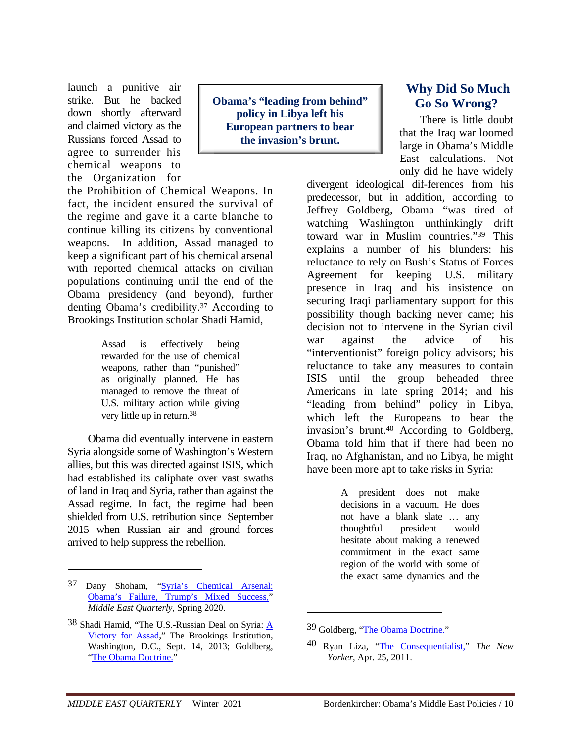launch a punitive air strike. But he backed down shortly afterward and claimed victory as the Russians forced Assad to agree to surrender his chemical weapons to the Organization for

**Obama's "leading from behind"** policy in Libya left his **European partners to bear** the invasion's brunt.

the Prohibition of Chemical Weapons. In fact, the incident ensured the survival of the regime and gave it a carte blanche to continue killing its citizens by conventional weapons. In addition, Assad managed to keep a significant part of his chemical arsenal with reported chemical attacks on civilian populations continuing until the end of the Obama presidency (and beyond), further denting Obama's credibility.<sup>37</sup> According to Brookings Institution scholar Shadi Hamid,

> Assad  $is$ effectively being rewarded for the use of chemical weapons, rather than "punished" as originally planned. He has managed to remove the threat of U.S. military action while giving very little up in return.<sup>38</sup>

Obama did eventually intervene in eastern Syria alongside some of Washington's Western allies, but this was directed against ISIS, which had established its caliphate over vast swaths of land in Iraq and Syria, rather than against the Assad regime. In fact, the regime had been shielded from U.S. retribution since September 2015 when Russian air and ground forces arrived to help suppress the rebellion.

# **Why Did So Much Go So Wrong?**

There is little doubt that the Iraq war loomed large in Obama's Middle East calculations. Not only did he have widely

divergent ideological dif-ferences from his predecessor, but in addition, according to Jeffrey Goldberg, Obama "was tired of watching Washington unthinkingly drift toward war in Muslim countries."39 This explains a number of his blunders: his reluctance to rely on Bush's Status of Forces Agreement for keeping U.S. military presence in Iraq and his insistence on securing Iraqi parliamentary support for this possibility though backing never came; his decision not to intervene in the Syrian civil war against the advice  $\alpha$ f his "interventionist" foreign policy advisors; his reluctance to take any measures to contain ISIS until the group beheaded three Americans in late spring 2014; and his "leading from behind" policy in Libya, which left the Europeans to bear the invasion's brunt.<sup>40</sup> According to Goldberg, Obama told him that if there had been no Iraq, no Afghanistan, and no Libya, he might have been more apt to take risks in Syria:

> A president does not make decisions in a vacuum. He does not have a blank slate ... any thoughtful president would hesitate about making a renewed commitment in the exact same region of the world with some of the exact same dynamics and the

<sup>37</sup> Dany Shoham, "Syria's Chemical Arsenal: Obama's Failure, Trump's Mixed Success," Middle East Ouarterly, Spring 2020.

<sup>38</sup> Shadi Hamid, "The U.S.-Russian Deal on Syria:  $\underline{A}$ Victory for Assad," The Brookings Institution, Washington, D.C., Sept. 14, 2013; Goldberg, "The Obama Doctrine."

<sup>&</sup>lt;sup>39</sup> Goldberg. "The Obama Doctrine."

<sup>40</sup> Ryan Liza, "The Consequentialist," The New Yorker, Apr. 25, 2011.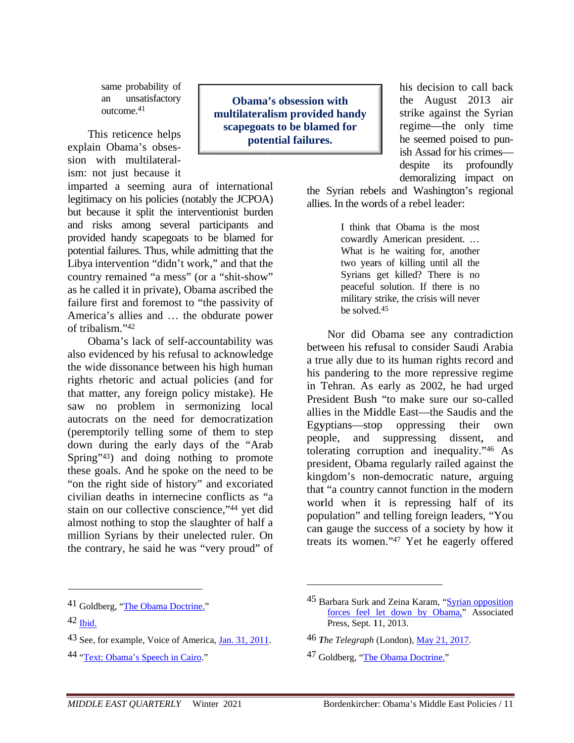same probability of unsatisfactory an outcome. $41$ 

This reticence helps explain Obama's obsession with multilateralism: not just because it

imparted a seeming aura of international legitimacy on his policies (notably the JCPOA) but because it split the interventionist burden and risks among several participants and provided handy scapegoats to be blamed for potential failures. Thus, while admitting that the Libya intervention "didn't work," and that the country remained "a mess" (or a "shit-show" as he called it in private), Obama ascribed the failure first and foremost to "the passivity of America's allies and ... the obdurate power of tribalism."42

Obama's lack of self-accountability was also evidenced by his refusal to acknowledge the wide dissonance between his high human rights rhetoric and actual policies (and for that matter, any foreign policy mistake). He saw no problem in sermonizing local autocrats on the need for democratization (peremptorily telling some of them to step down during the early days of the "Arab" Spring"<sup>43</sup>) and doing nothing to promote these goals. And he spoke on the need to be "on the right side of history" and excoriated civilian deaths in internecine conflicts as "a stain on our collective conscience,"44 yet did almost nothing to stop the slaughter of half a million Syrians by their unelected ruler. On the contrary, he said he was "very proud" of

**Obama's obsession with** multilateralism provided handy scapegoats to be blamed for potential failures.

his decision to call back the August 2013 air strike against the Syrian regime—the only time he seemed poised to punish Assad for his crimesprofoundly despite its demoralizing impact on

the Syrian rebels and Washington's regional allies. In the words of a rebel leader:

> I think that Obama is the most cowardly American president... What is he waiting for, another two years of killing until all the Syrians get killed? There is no peaceful solution. If there is no military strike, the crisis will never be solved 45

Nor did Obama see any contradiction between his refusal to consider Saudi Arabia a true ally due to its human rights record and his pandering to the more repressive regime in Tehran. As early as 2002, he had urged President Bush "to make sure our so-called allies in the Middle East—the Saudis and the Egyptians—stop oppressing their own people, and suppressing dissent, and tolerating corruption and inequality."46 As president, Obama regularly railed against the kingdom's non-democratic nature, arguing that "a country cannot function in the modern world when it is repressing half of its population" and telling foreign leaders, "You can gauge the success of a society by how it treats its women."47 Yet he eagerly offered

- <sup>43</sup> See, for example, Voice of America, Jan. 31, 2011.
- 44 "Text: Obama's Speech in Cairo."

<sup>47</sup> Goldberg, "The Obama Doctrine."

<sup>&</sup>lt;sup>41</sup> Goldberg, "The Obama Doctrine."

 $42$  Ibid

<sup>45</sup> Barbara Surk and Zeina Karam, "Syrian opposition forces feel let down by Obama," Associated Press, Sept. 11, 2013.

<sup>46</sup> The Telegraph (London), May 21, 2017.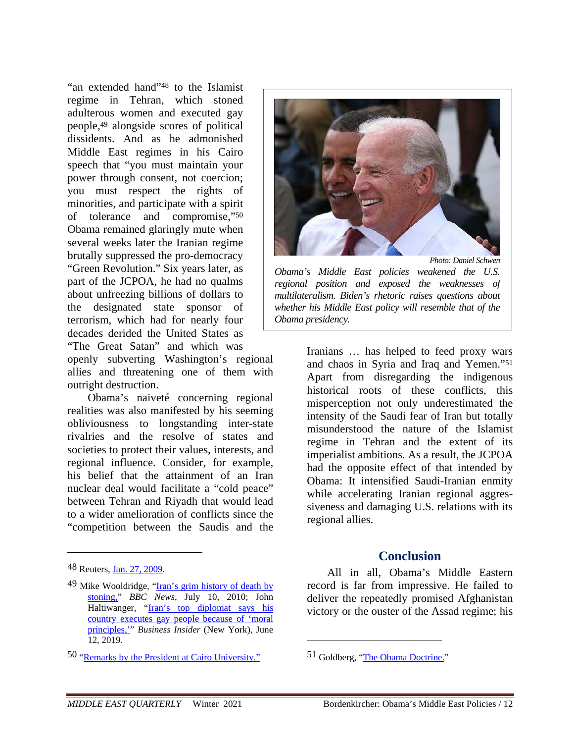"an extended hand"48 to the Islamist regime in Tehran, which stoned adulterous women and executed gay people,49 alongside scores of political dissidents. And as he admonished Middle East regimes in his Cairo speech that "you must maintain your power through consent, not coercion; you must respect the rights of minorities, and participate with a spirit of tolerance and compromise,"50 Obama remained glaringly mute when several weeks later the Iranian regime brutally suppressed the pro-democracy "Green Revolution." Six years later, as part of the JCPOA, he had no qualms about unfreezing billions of dollars to the designated state sponsor of terrorism, which had for nearly four decades derided the United States as "The Great Satan" and which was

openly subverting Washington's regional allies and threatening one of them with outright destruction.

Obama's naiveté concerning regional realities was also manifested by his seeming obliviousness to longstanding inter-state rivalries and the resolve of states and societies to protect their values, interests, and regional influence. Consider, for example, his belief that the attainment of an Iran nuclear deal would facilitate a "cold peace" between Tehran and Riyadh that would lead to a wider amelioration of conflicts since the "competition between the Saudis and the

 $\overline{a}$ 



*multilateralism. Biden's rhetoric raises questions about whether his Middle East policy will resemble that of the Obama presidency.* 

> Iranians … has helped to feed proxy wars and chaos in Syria and Iraq and Yemen."51 Apart from disregarding the indigenous historical roots of these conflicts, this misperception not only underestimated the intensity of the Saudi fear of Iran but totally misunderstood the nature of the Islamist regime in Tehran and the extent of its imperialist ambitions. As a result, the JCPOA had the opposite effect of that intended by Obama: It intensified Saudi-Iranian enmity while accelerating Iranian regional aggressiveness and damaging U.S. relations with its regional allies.

# **Conclusion**

All in all, Obama's Middle Eastern record is far from impressive. He failed to deliver the repeatedly promised Afghanistan victory or the ouster of the Assad regime; his

<sup>48</sup> Reuters, Jan. 27, 2009.

<sup>49</sup> Mike Wooldridge, "Iran's grim history of death by stoning," *BBC News*, July 10, 2010; John Haltiwanger, "Iran's top diplomat says his country executes gay people because of 'moral principles,'" *Business Insider* (New York), June 12, 2019.

<sup>50 &</sup>quot;Remarks by the President at Cairo University."

<sup>51</sup> Goldberg, "The Obama Doctrine."